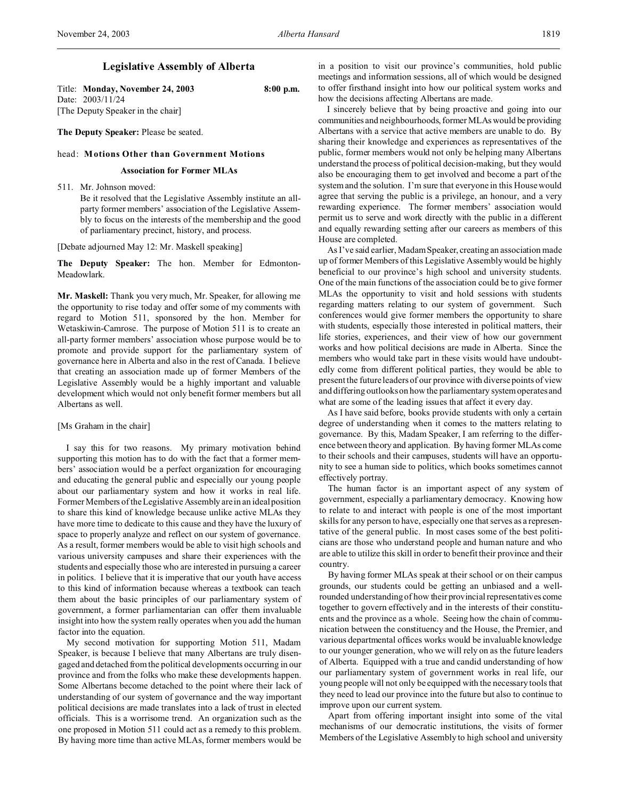# **Legislative Assembly of Alberta**

Title: **Monday, November 24, 2003 8:00 p.m.** Date: 2003/11/24 [The Deputy Speaker in the chair]

**The Deputy Speaker:** Please be seated.

### head: **Motions Other than Government Motions**

# **Association for Former MLAs**

511. Mr. Johnson moved:

Be it resolved that the Legislative Assembly institute an allparty former members' association of the Legislative Assembly to focus on the interests of the membership and the good of parliamentary precinct, history, and process.

[Debate adjourned May 12: Mr. Maskell speaking]

**The Deputy Speaker:** The hon. Member for Edmonton-Meadowlark.

**Mr. Maskell:** Thank you very much, Mr. Speaker, for allowing me the opportunity to rise today and offer some of my comments with regard to Motion 511, sponsored by the hon. Member for Wetaskiwin-Camrose. The purpose of Motion 511 is to create an all-party former members' association whose purpose would be to promote and provide support for the parliamentary system of governance here in Alberta and also in the rest of Canada. I believe that creating an association made up of former Members of the Legislative Assembly would be a highly important and valuable development which would not only benefit former members but all Albertans as well.

[Ms Graham in the chair]

I say this for two reasons. My primary motivation behind supporting this motion has to do with the fact that a former members' association would be a perfect organization for encouraging and educating the general public and especially our young people about our parliamentary system and how it works in real life. Former Members of the Legislative Assembly are in an ideal position to share this kind of knowledge because unlike active MLAs they have more time to dedicate to this cause and they have the luxury of space to properly analyze and reflect on our system of governance. As a result, former members would be able to visit high schools and various university campuses and share their experiences with the students and especially those who are interested in pursuing a career in politics. I believe that it is imperative that our youth have access to this kind of information because whereas a textbook can teach them about the basic principles of our parliamentary system of government, a former parliamentarian can offer them invaluable insight into how the system really operates when you add the human factor into the equation.

My second motivation for supporting Motion 511, Madam Speaker, is because I believe that many Albertans are truly disengaged and detached from the political developments occurring in our province and from the folks who make these developments happen. Some Albertans become detached to the point where their lack of understanding of our system of governance and the way important political decisions are made translates into a lack of trust in elected officials. This is a worrisome trend. An organization such as the one proposed in Motion 511 could act as a remedy to this problem. By having more time than active MLAs, former members would be in a position to visit our province's communities, hold public meetings and information sessions, all of which would be designed to offer firsthand insight into how our political system works and how the decisions affecting Albertans are made.

I sincerely believe that by being proactive and going into our communities and neighbourhoods, former MLAs would be providing Albertans with a service that active members are unable to do. By sharing their knowledge and experiences as representatives of the public, former members would not only be helping many Albertans understand the process of political decision-making, but they would also be encouraging them to get involved and become a part of the system and the solution. I'm sure that everyone in this House would agree that serving the public is a privilege, an honour, and a very rewarding experience. The former members' association would permit us to serve and work directly with the public in a different and equally rewarding setting after our careers as members of this House are completed.

As I've said earlier, Madam Speaker, creating an association made up of former Members of this Legislative Assembly would be highly beneficial to our province's high school and university students. One of the main functions of the association could be to give former MLAs the opportunity to visit and hold sessions with students regarding matters relating to our system of government. Such conferences would give former members the opportunity to share with students, especially those interested in political matters, their life stories, experiences, and their view of how our government works and how political decisions are made in Alberta. Since the members who would take part in these visits would have undoubtedly come from different political parties, they would be able to present the future leaders of our province with diverse points of view and differing outlooks on how the parliamentary system operates and what are some of the leading issues that affect it every day.

As I have said before, books provide students with only a certain degree of understanding when it comes to the matters relating to governance. By this, Madam Speaker, I am referring to the difference between theory and application. By having former MLAs come to their schools and their campuses, students will have an opportunity to see a human side to politics, which books sometimes cannot effectively portray.

The human factor is an important aspect of any system of government, especially a parliamentary democracy. Knowing how to relate to and interact with people is one of the most important skills for any person to have, especially one that serves as a representative of the general public. In most cases some of the best politicians are those who understand people and human nature and who are able to utilize this skill in order to benefit their province and their country.

By having former MLAs speak at their school or on their campus grounds, our students could be getting an unbiased and a wellrounded understanding of how their provincial representatives come together to govern effectively and in the interests of their constituents and the province as a whole. Seeing how the chain of communication between the constituency and the House, the Premier, and various departmental offices works would be invaluable knowledge to our younger generation, who we will rely on as the future leaders of Alberta. Equipped with a true and candid understanding of how our parliamentary system of government works in real life, our young people will not only be equipped with the necessary tools that they need to lead our province into the future but also to continue to improve upon our current system.

Apart from offering important insight into some of the vital mechanisms of our democratic institutions, the visits of former Members of the Legislative Assembly to high school and university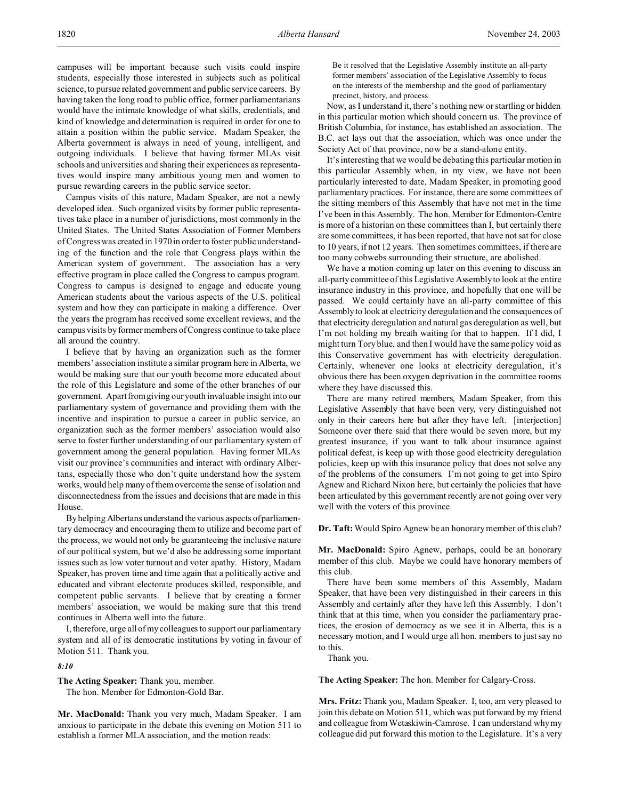campuses will be important because such visits could inspire students, especially those interested in subjects such as political science, to pursue related government and public service careers. By having taken the long road to public office, former parliamentarians would have the intimate knowledge of what skills, credentials, and kind of knowledge and determination is required in order for one to attain a position within the public service. Madam Speaker, the Alberta government is always in need of young, intelligent, and outgoing individuals. I believe that having former MLAs visit schools and universities and sharing their experiences as representatives would inspire many ambitious young men and women to pursue rewarding careers in the public service sector.

Campus visits of this nature, Madam Speaker, are not a newly developed idea. Such organized visits by former public representatives take place in a number of jurisdictions, most commonly in the United States. The United States Association of Former Members of Congress was created in 1970 in order to foster public understanding of the function and the role that Congress plays within the American system of government. The association has a very effective program in place called the Congress to campus program. Congress to campus is designed to engage and educate young American students about the various aspects of the U.S. political system and how they can participate in making a difference. Over the years the program has received some excellent reviews, and the campus visits by former members of Congress continue to take place all around the country.

I believe that by having an organization such as the former members' association institute a similar program here in Alberta, we would be making sure that our youth become more educated about the role of this Legislature and some of the other branches of our government. Apart from giving our youth invaluable insight into our parliamentary system of governance and providing them with the incentive and inspiration to pursue a career in public service, an organization such as the former members' association would also serve to foster further understanding of our parliamentary system of government among the general population. Having former MLAs visit our province's communities and interact with ordinary Albertans, especially those who don't quite understand how the system works, would help many of them overcome the sense of isolation and disconnectedness from the issues and decisions that are made in this House.

By helping Albertans understand the various aspects of parliamentary democracy and encouraging them to utilize and become part of the process, we would not only be guaranteeing the inclusive nature of our political system, but we'd also be addressing some important issues such as low voter turnout and voter apathy. History, Madam Speaker, has proven time and time again that a politically active and educated and vibrant electorate produces skilled, responsible, and competent public servants. I believe that by creating a former members' association, we would be making sure that this trend continues in Alberta well into the future.

I, therefore, urge all of my colleagues to support our parliamentary system and all of its democratic institutions by voting in favour of Motion 511. Thank you.

# *8:10*

**The Acting Speaker:** Thank you, member. The hon. Member for Edmonton-Gold Bar.

**Mr. MacDonald:** Thank you very much, Madam Speaker. I am anxious to participate in the debate this evening on Motion 511 to establish a former MLA association, and the motion reads:

Be it resolved that the Legislative Assembly institute an all-party former members' association of the Legislative Assembly to focus on the interests of the membership and the good of parliamentary precinct, history, and process.

Now, as I understand it, there's nothing new or startling or hidden in this particular motion which should concern us. The province of British Columbia, for instance, has established an association. The B.C. act lays out that the association, which was once under the Society Act of that province, now be a stand-alone entity.

It's interesting that we would be debating this particular motion in this particular Assembly when, in my view, we have not been particularly interested to date, Madam Speaker, in promoting good parliamentary practices. For instance, there are some committees of the sitting members of this Assembly that have not met in the time I've been in this Assembly. The hon. Member for Edmonton-Centre is more of a historian on these committees than I, but certainly there are some committees, it has been reported, that have not sat for close to 10 years, if not 12 years. Then sometimes committees, if there are too many cobwebs surrounding their structure, are abolished.

We have a motion coming up later on this evening to discuss an all-party committee of this Legislative Assembly to look at the entire insurance industry in this province, and hopefully that one will be passed. We could certainly have an all-party committee of this Assembly to look at electricity deregulation and the consequences of that electricity deregulation and natural gas deregulation as well, but I'm not holding my breath waiting for that to happen. If I did, I might turn Tory blue, and then I would have the same policy void as this Conservative government has with electricity deregulation. Certainly, whenever one looks at electricity deregulation, it's obvious there has been oxygen deprivation in the committee rooms where they have discussed this.

There are many retired members, Madam Speaker, from this Legislative Assembly that have been very, very distinguished not only in their careers here but after they have left. [interjection] Someone over there said that there would be seven more, but my greatest insurance, if you want to talk about insurance against political defeat, is keep up with those good electricity deregulation policies, keep up with this insurance policy that does not solve any of the problems of the consumers. I'm not going to get into Spiro Agnew and Richard Nixon here, but certainly the policies that have been articulated by this government recently are not going over very well with the voters of this province.

**Dr. Taft:** Would Spiro Agnew be an honorary member of this club?

**Mr. MacDonald:** Spiro Agnew, perhaps, could be an honorary member of this club. Maybe we could have honorary members of this club.

There have been some members of this Assembly, Madam Speaker, that have been very distinguished in their careers in this Assembly and certainly after they have left this Assembly. I don't think that at this time, when you consider the parliamentary practices, the erosion of democracy as we see it in Alberta, this is a necessary motion, and I would urge all hon. members to just say no to this.

Thank you.

**The Acting Speaker:** The hon. Member for Calgary-Cross.

**Mrs. Fritz:** Thank you, Madam Speaker. I, too, am very pleased to join this debate on Motion 511, which was put forward by my friend and colleague from Wetaskiwin-Camrose. I can understand why my colleague did put forward this motion to the Legislature. It's a very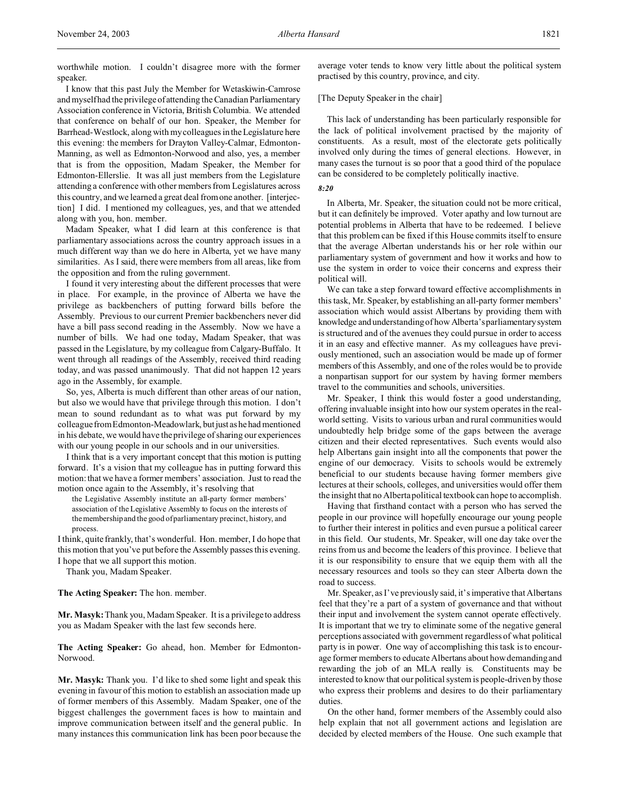worthwhile motion. I couldn't disagree more with the former speaker.

I know that this past July the Member for Wetaskiwin-Camrose and myself had the privilegeof attending the Canadian Parliamentary Association conference in Victoria, British Columbia. We attended that conference on behalf of our hon. Speaker, the Member for Barrhead-Westlock, along with my colleagues in theLegislature here this evening: the members for Drayton Valley-Calmar, Edmonton-Manning, as well as Edmonton-Norwood and also, yes, a member that is from the opposition, Madam Speaker, the Member for Edmonton-Ellerslie. It was all just members from the Legislature attending a conference with other members from Legislatures across this country, and we learned a great deal from one another. [interjection] I did. I mentioned my colleagues, yes, and that we attended along with you, hon. member.

Madam Speaker, what I did learn at this conference is that parliamentary associations across the country approach issues in a much different way than we do here in Alberta, yet we have many similarities. As I said, there were members from all areas, like from the opposition and from the ruling government.

I found it very interesting about the different processes that were in place. For example, in the province of Alberta we have the privilege as backbenchers of putting forward bills before the Assembly. Previous to our current Premier backbenchers never did have a bill pass second reading in the Assembly. Now we have a number of bills. We had one today, Madam Speaker, that was passed in the Legislature, by my colleague from Calgary-Buffalo. It went through all readings of the Assembly, received third reading today, and was passed unanimously. That did not happen 12 years ago in the Assembly, for example.

So, yes, Alberta is much different than other areas of our nation, but also we would have that privilege through this motion. I don't mean to sound redundant as to what was put forward by my colleague from Edmonton-Meadowlark, but just as he had mentioned in his debate, we would have the privilege of sharing our experiences with our young people in our schools and in our universities.

I think that is a very important concept that this motion is putting forward. It's a vision that my colleague has in putting forward this motion: that we have a former members' association. Just to read the motion once again to the Assembly, it's resolving that

the Legislative Assembly institute an all-party former members' association of the Legislative Assembly to focus on the interests of the membershipand the good of parliamentary precinct, history, and process.

I think, quite frankly, that's wonderful. Hon. member, I do hope that this motion that you've put before the Assembly passes this evening. I hope that we all support this motion.

Thank you, Madam Speaker.

#### **The Acting Speaker:** The hon. member.

**Mr. Masyk:** Thank you, Madam Speaker. It is a privilege to address you as Madam Speaker with the last few seconds here.

**The Acting Speaker:** Go ahead, hon. Member for Edmonton-Norwood.

**Mr. Masyk:** Thank you. I'd like to shed some light and speak this evening in favour of this motion to establish an association made up of former members of this Assembly. Madam Speaker, one of the biggest challenges the government faces is how to maintain and improve communication between itself and the general public. In many instances this communication link has been poor because the average voter tends to know very little about the political system practised by this country, province, and city.

# [The Deputy Speaker in the chair]

This lack of understanding has been particularly responsible for the lack of political involvement practised by the majority of constituents. As a result, most of the electorate gets politically involved only during the times of general elections. However, in many cases the turnout is so poor that a good third of the populace can be considered to be completely politically inactive.

# *8:20*

In Alberta, Mr. Speaker, the situation could not be more critical, but it can definitely be improved. Voter apathy and low turnout are potential problems in Alberta that have to be redeemed. I believe that this problem can be fixed if this House commits itself to ensure that the average Albertan understands his or her role within our parliamentary system of government and how it works and how to use the system in order to voice their concerns and express their political will.

We can take a step forward toward effective accomplishments in this task, Mr. Speaker, by establishing an all-party former members' association which would assist Albertans by providing them with knowledge and understanding of how Alberta's parliamentarysystem is structured and of the avenues they could pursue in order to access it in an easy and effective manner. As my colleagues have previously mentioned, such an association would be made up of former members of this Assembly, and one of the roles would be to provide a nonpartisan support for our system by having former members travel to the communities and schools, universities.

Mr. Speaker, I think this would foster a good understanding, offering invaluable insight into how our system operates in the realworld setting. Visits to various urban and rural communities would undoubtedly help bridge some of the gaps between the average citizen and their elected representatives. Such events would also help Albertans gain insight into all the components that power the engine of our democracy. Visits to schools would be extremely beneficial to our students because having former members give lectures at their schools, colleges, and universities would offer them the insight that no Alberta political textbook can hope to accomplish.

Having that firsthand contact with a person who has served the people in our province will hopefully encourage our young people to further their interest in politics and even pursue a political career in this field. Our students, Mr. Speaker, will one day take over the reins from us and become the leaders of this province. I believe that it is our responsibility to ensure that we equip them with all the necessary resources and tools so they can steer Alberta down the road to success.

Mr. Speaker, as I've previously said, it's imperative that Albertans feel that they're a part of a system of governance and that without their input and involvement the system cannot operate effectively. It is important that we try to eliminate some of the negative general perceptions associated with government regardless of what political party is in power. One way of accomplishing this task is to encourage former members to educate Albertans about how demanding and rewarding the job of an MLA really is. Constituents may be interested to know that our political system is people-driven by those who express their problems and desires to do their parliamentary duties.

On the other hand, former members of the Assembly could also help explain that not all government actions and legislation are decided by elected members of the House. One such example that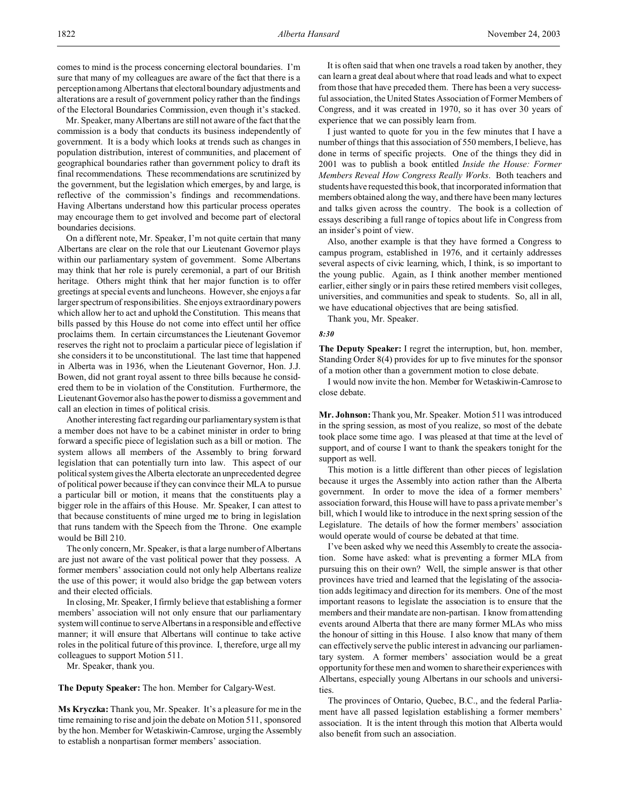Mr. Speaker, many Albertans are still not aware of the fact that the commission is a body that conducts its business independently of government. It is a body which looks at trends such as changes in population distribution, interest of communities, and placement of geographical boundaries rather than government policy to draft its final recommendations. These recommendations are scrutinized by the government, but the legislation which emerges, by and large, is reflective of the commission's findings and recommendations. Having Albertans understand how this particular process operates may encourage them to get involved and become part of electoral boundaries decisions.

On a different note, Mr. Speaker, I'm not quite certain that many Albertans are clear on the role that our Lieutenant Governor plays within our parliamentary system of government. Some Albertans may think that her role is purely ceremonial, a part of our British heritage. Others might think that her major function is to offer greetings at special events and luncheons. However, she enjoys a far larger spectrum of responsibilities. She enjoys extraordinary powers which allow her to act and uphold the Constitution. This means that bills passed by this House do not come into effect until her office proclaims them. In certain circumstances the Lieutenant Governor reserves the right not to proclaim a particular piece of legislation if she considers it to be unconstitutional. The last time that happened in Alberta was in 1936, when the Lieutenant Governor, Hon. J.J. Bowen, did not grant royal assent to three bills because he considered them to be in violation of the Constitution. Furthermore, the Lieutenant Governor also has the power to dismiss a government and call an election in times of political crisis.

Another interesting fact regarding our parliamentary system is that a member does not have to be a cabinet minister in order to bring forward a specific piece of legislation such as a bill or motion. The system allows all members of the Assembly to bring forward legislation that can potentially turn into law. This aspect of our political system gives the Alberta electorate an unprecedented degree of political power because if they can convince their MLA to pursue a particular bill or motion, it means that the constituents play a bigger role in the affairs of this House. Mr. Speaker, I can attest to that because constituents of mine urged me to bring in legislation that runs tandem with the Speech from the Throne. One example would be Bill 210.

The only concern, Mr. Speaker, is that a large number of Albertans are just not aware of the vast political power that they possess. A former members' association could not only help Albertans realize the use of this power; it would also bridge the gap between voters and their elected officials.

In closing, Mr. Speaker, I firmly believe that establishing a former members' association will not only ensure that our parliamentary system will continue to serve Albertans in a responsible and effective manner; it will ensure that Albertans will continue to take active roles in the political future of this province. I, therefore, urge all my colleagues to support Motion 511.

Mr. Speaker, thank you.

**The Deputy Speaker:** The hon. Member for Calgary-West.

**Ms Kryczka:** Thank you, Mr. Speaker. It's a pleasure for me in the time remaining to rise and join the debate on Motion 511, sponsored by the hon. Member for Wetaskiwin-Camrose, urging the Assembly to establish a nonpartisan former members' association.

It is often said that when one travels a road taken by another, they can learn a great deal about where that road leads and what to expect from those that have preceded them. There has been a very successful association, the United States Association of Former Members of Congress, and it was created in 1970, so it has over 30 years of experience that we can possibly learn from.

I just wanted to quote for you in the few minutes that I have a number of things that this association of 550 members, I believe, has done in terms of specific projects. One of the things they did in 2001 was to publish a book entitled *Inside the House: Former Members Reveal How Congress Really Works*. Both teachers and students have requested this book, that incorporated information that members obtained along the way, and there have been many lectures and talks given across the country. The book is a collection of essays describing a full range of topics about life in Congress from an insider's point of view.

Also, another example is that they have formed a Congress to campus program, established in 1976, and it certainly addresses several aspects of civic learning, which, I think, is so important to the young public. Again, as I think another member mentioned earlier, either singly or in pairs these retired members visit colleges, universities, and communities and speak to students. So, all in all, we have educational objectives that are being satisfied.

Thank you, Mr. Speaker.

#### *8:30*

**The Deputy Speaker:** I regret the interruption, but, hon. member, Standing Order 8(4) provides for up to five minutes for the sponsor of a motion other than a government motion to close debate.

I would now invite the hon. Member for Wetaskiwin-Camrose to close debate.

**Mr. Johnson:** Thank you, Mr. Speaker. Motion 511 was introduced in the spring session, as most of you realize, so most of the debate took place some time ago. I was pleased at that time at the level of support, and of course I want to thank the speakers tonight for the support as well.

This motion is a little different than other pieces of legislation because it urges the Assembly into action rather than the Alberta government. In order to move the idea of a former members' association forward, this House will have to pass a private member's bill, which I would like to introduce in the next spring session of the Legislature. The details of how the former members' association would operate would of course be debated at that time.

I've been asked why we need this Assembly to create the association. Some have asked: what is preventing a former MLA from pursuing this on their own? Well, the simple answer is that other provinces have tried and learned that the legislating of the association adds legitimacy and direction for its members. One of the most important reasons to legislate the association is to ensure that the members and their mandate are non-partisan. I know from attending events around Alberta that there are many former MLAs who miss the honour of sitting in this House. I also know that many of them can effectively serve the public interest in advancing our parliamentary system. A former members' association would be a great opportunity for these men and women to share their experiences with Albertans, especially young Albertans in our schools and universities.

The provinces of Ontario, Quebec, B.C., and the federal Parliament have all passed legislation establishing a former members' association. It is the intent through this motion that Alberta would also benefit from such an association.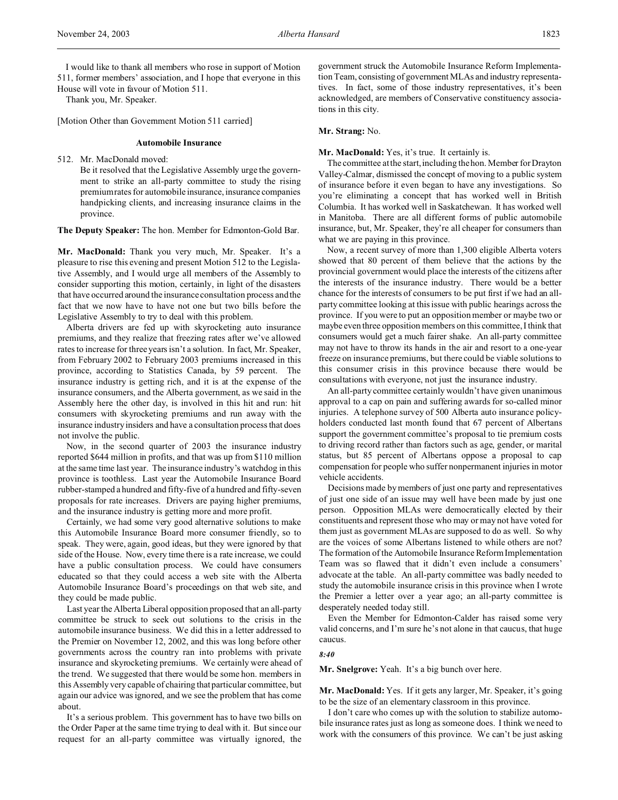I would like to thank all members who rose in support of Motion 511, former members' association, and I hope that everyone in this House will vote in favour of Motion 511.

Thank you, Mr. Speaker.

[Motion Other than Government Motion 511 carried]

### **Automobile Insurance**

512. Mr. MacDonald moved:

Be it resolved that the Legislative Assembly urge the government to strike an all-party committee to study the rising premium rates for automobile insurance, insurance companies handpicking clients, and increasing insurance claims in the province.

**The Deputy Speaker:** The hon. Member for Edmonton-Gold Bar.

**Mr. MacDonald:** Thank you very much, Mr. Speaker. It's a pleasure to rise this evening and present Motion 512 to the Legislative Assembly, and I would urge all members of the Assembly to consider supporting this motion, certainly, in light of the disasters that have occurred around the insurance consultation process and the fact that we now have to have not one but two bills before the Legislative Assembly to try to deal with this problem.

Alberta drivers are fed up with skyrocketing auto insurance premiums, and they realize that freezing rates after we've allowed rates to increase for three years isn't a solution. In fact, Mr. Speaker, from February 2002 to February 2003 premiums increased in this province, according to Statistics Canada, by 59 percent. The insurance industry is getting rich, and it is at the expense of the insurance consumers, and the Alberta government, as we said in the Assembly here the other day, is involved in this hit and run: hit consumers with skyrocketing premiums and run away with the insurance industry insiders and have a consultation process that does not involve the public.

Now, in the second quarter of 2003 the insurance industry reported \$644 million in profits, and that was up from \$110 million at the same time last year. The insurance industry's watchdog in this province is toothless. Last year the Automobile Insurance Board rubber-stamped a hundred and fifty-five of a hundred and fifty-seven proposals for rate increases. Drivers are paying higher premiums, and the insurance industry is getting more and more profit.

Certainly, we had some very good alternative solutions to make this Automobile Insurance Board more consumer friendly, so to speak. They were, again, good ideas, but they were ignored by that side of the House. Now, every time there is a rate increase, we could have a public consultation process. We could have consumers educated so that they could access a web site with the Alberta Automobile Insurance Board's proceedings on that web site, and they could be made public.

Last year the Alberta Liberal opposition proposed that an all-party committee be struck to seek out solutions to the crisis in the automobile insurance business. We did this in a letter addressed to the Premier on November 12, 2002, and this was long before other governments across the country ran into problems with private insurance and skyrocketing premiums. We certainly were ahead of the trend. We suggested that there would be some hon. members in this Assembly very capable of chairing that particular committee, but again our advice was ignored, and we see the problem that has come about.

It's a serious problem. This government has to have two bills on the Order Paper at the same time trying to deal with it. But since our request for an all-party committee was virtually ignored, the

government struck the Automobile Insurance Reform Implementation Team, consisting of government MLAs and industry representatives. In fact, some of those industry representatives, it's been acknowledged, are members of Conservative constituency associations in this city.

### **Mr. Strang:** No.

#### **Mr. MacDonald:** Yes, it's true. It certainly is.

The committee at the start, including the hon. Member for Drayton Valley-Calmar, dismissed the concept of moving to a public system of insurance before it even began to have any investigations. So you're eliminating a concept that has worked well in British Columbia. It has worked well in Saskatchewan. It has worked well in Manitoba. There are all different forms of public automobile insurance, but, Mr. Speaker, they're all cheaper for consumers than what we are paying in this province.

Now, a recent survey of more than 1,300 eligible Alberta voters showed that 80 percent of them believe that the actions by the provincial government would place the interests of the citizens after the interests of the insurance industry. There would be a better chance for the interests of consumers to be put first if we had an allparty committee looking at this issue with public hearings across the province. If you were to put an opposition member or maybe two or maybe even three opposition members on this committee, I think that consumers would get a much fairer shake. An all-party committee may not have to throw its hands in the air and resort to a one-year freeze on insurance premiums, but there could be viable solutions to this consumer crisis in this province because there would be consultations with everyone, not just the insurance industry.

An all-party committee certainly wouldn't have given unanimous approval to a cap on pain and suffering awards for so-called minor injuries. A telephone survey of 500 Alberta auto insurance policyholders conducted last month found that 67 percent of Albertans support the government committee's proposal to tie premium costs to driving record rather than factors such as age, gender, or marital status, but 85 percent of Albertans oppose a proposal to cap compensation for people who suffer nonpermanent injuries in motor vehicle accidents.

Decisions made by members of just one party and representatives of just one side of an issue may well have been made by just one person. Opposition MLAs were democratically elected by their constituents and represent those who may or may not have voted for them just as government MLAs are supposed to do as well. So why are the voices of some Albertans listened to while others are not? The formation of the Automobile Insurance Reform Implementation Team was so flawed that it didn't even include a consumers' advocate at the table. An all-party committee was badly needed to study the automobile insurance crisis in this province when I wrote the Premier a letter over a year ago; an all-party committee is desperately needed today still.

Even the Member for Edmonton-Calder has raised some very valid concerns, and I'm sure he's not alone in that caucus, that huge caucus.

### *8:40*

**Mr. Snelgrove:** Yeah. It's a big bunch over here.

**Mr. MacDonald:** Yes. If it gets any larger, Mr. Speaker, it's going to be the size of an elementary classroom in this province.

I don't care who comes up with the solution to stabilize automobile insurance rates just as long as someone does. I think we need to work with the consumers of this province. We can't be just asking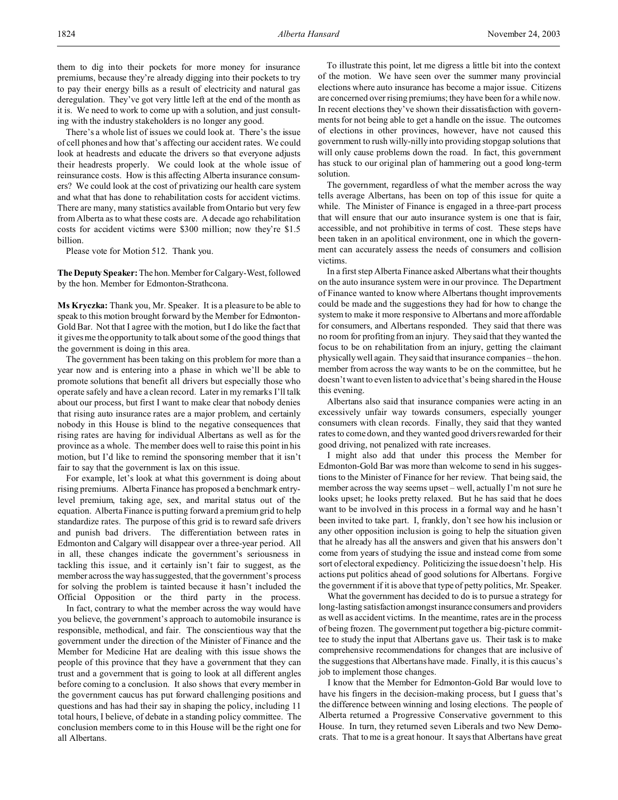There's a whole list of issues we could look at. There's the issue of cell phones and how that's affecting our accident rates. We could look at headrests and educate the drivers so that everyone adjusts their headrests properly. We could look at the whole issue of reinsurance costs. How is this affecting Alberta insurance consumers? We could look at the cost of privatizing our health care system and what that has done to rehabilitation costs for accident victims. There are many, many statistics available from Ontario but very few from Alberta as to what these costs are. A decade ago rehabilitation costs for accident victims were \$300 million; now they're \$1.5 billion.

Please vote for Motion 512. Thank you.

**The Deputy Speaker:** The hon.Member for Calgary-West, followed by the hon. Member for Edmonton-Strathcona.

**Ms Kryczka:** Thank you, Mr. Speaker. It is a pleasure to be able to speak to this motion brought forward by the Member for Edmonton-Gold Bar. Not that I agree with the motion, but I do like the fact that it gives me the opportunity to talk about some of the good things that the government is doing in this area.

The government has been taking on this problem for more than a year now and is entering into a phase in which we'll be able to promote solutions that benefit all drivers but especially those who operate safely and have a clean record. Later in my remarks I'll talk about our process, but first I want to make clear that nobody denies that rising auto insurance rates are a major problem, and certainly nobody in this House is blind to the negative consequences that rising rates are having for individual Albertans as well as for the province as a whole. The member does well to raise this point in his motion, but I'd like to remind the sponsoring member that it isn't fair to say that the government is lax on this issue.

For example, let's look at what this government is doing about rising premiums. Alberta Finance has proposed a benchmark entrylevel premium, taking age, sex, and marital status out of the equation. Alberta Finance is putting forward a premium grid to help standardize rates. The purpose of this grid is to reward safe drivers and punish bad drivers. The differentiation between rates in Edmonton and Calgary will disappear over a three-year period. All in all, these changes indicate the government's seriousness in tackling this issue, and it certainly isn't fair to suggest, as the member across the way has suggested, that the government's process for solving the problem is tainted because it hasn't included the Official Opposition or the third party in the process.

In fact, contrary to what the member across the way would have you believe, the government's approach to automobile insurance is responsible, methodical, and fair. The conscientious way that the government under the direction of the Minister of Finance and the Member for Medicine Hat are dealing with this issue shows the people of this province that they have a government that they can trust and a government that is going to look at all different angles before coming to a conclusion. It also shows that every member in the government caucus has put forward challenging positions and questions and has had their say in shaping the policy, including 11 total hours, I believe, of debate in a standing policy committee. The conclusion members come to in this House will be the right one for all Albertans.

To illustrate this point, let me digress a little bit into the context of the motion. We have seen over the summer many provincial elections where auto insurance has become a major issue. Citizens are concerned over rising premiums; they have been for a while now. In recent elections they've shown their dissatisfaction with governments for not being able to get a handle on the issue. The outcomes of elections in other provinces, however, have not caused this government to rush willy-nilly into providing stopgap solutions that will only cause problems down the road. In fact, this government has stuck to our original plan of hammering out a good long-term solution.

The government, regardless of what the member across the way tells average Albertans, has been on top of this issue for quite a while. The Minister of Finance is engaged in a three-part process that will ensure that our auto insurance system is one that is fair, accessible, and not prohibitive in terms of cost. These steps have been taken in an apolitical environment, one in which the government can accurately assess the needs of consumers and collision victims.

In a first step Alberta Finance asked Albertans what their thoughts on the auto insurance system were in our province. The Department of Finance wanted to know where Albertans thought improvements could be made and the suggestions they had for how to change the system to make it more responsive to Albertans and more affordable for consumers, and Albertans responded. They said that there was no room for profiting from an injury. They said that they wanted the focus to be on rehabilitation from an injury, getting the claimant physically well again. They said that insurance companies – the hon. member from across the way wants to be on the committee, but he doesn't want to even listen to advice that's being shared in the House this evening.

Albertans also said that insurance companies were acting in an excessively unfair way towards consumers, especially younger consumers with clean records. Finally, they said that they wanted rates to come down, and they wanted good drivers rewarded for their good driving, not penalized with rate increases.

I might also add that under this process the Member for Edmonton-Gold Bar was more than welcome to send in his suggestions to the Minister of Finance for her review. That being said, the member across the way seems upset – well, actually I'm not sure he looks upset; he looks pretty relaxed. But he has said that he does want to be involved in this process in a formal way and he hasn't been invited to take part. I, frankly, don't see how his inclusion or any other opposition inclusion is going to help the situation given that he already has all the answers and given that his answers don't come from years of studying the issue and instead come from some sort of electoral expediency. Politicizing the issue doesn't help. His actions put politics ahead of good solutions for Albertans. Forgive the government if it is above that type of petty politics, Mr. Speaker.

What the government has decided to do is to pursue a strategy for long-lasting satisfaction amongst insurance consumers and providers as well as accident victims. In the meantime, rates are in the process of being frozen. The government put together a big-picture committee to study the input that Albertans gave us. Their task is to make comprehensive recommendations for changes that are inclusive of the suggestions that Albertans have made. Finally, it is this caucus's job to implement those changes.

I know that the Member for Edmonton-Gold Bar would love to have his fingers in the decision-making process, but I guess that's the difference between winning and losing elections. The people of Alberta returned a Progressive Conservative government to this House. In turn, they returned seven Liberals and two New Democrats. That to me is a great honour. It says that Albertans have great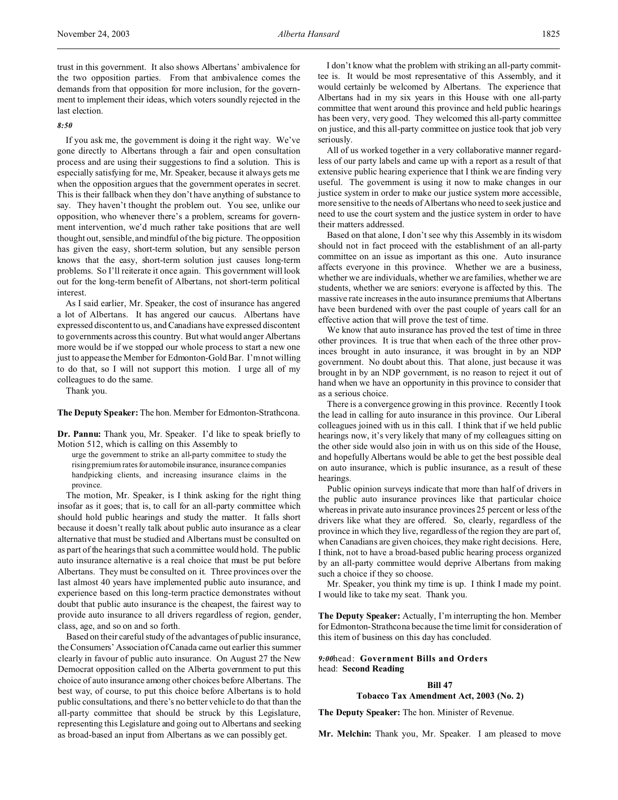### *8:50*

If you ask me, the government is doing it the right way. We've gone directly to Albertans through a fair and open consultation process and are using their suggestions to find a solution. This is especially satisfying for me, Mr. Speaker, because it always gets me when the opposition argues that the government operates in secret. This is their fallback when they don't have anything of substance to say. They haven't thought the problem out. You see, unlike our opposition, who whenever there's a problem, screams for government intervention, we'd much rather take positions that are well thought out, sensible, and mindful of the big picture. The opposition has given the easy, short-term solution, but any sensible person knows that the easy, short-term solution just causes long-term problems. So I'll reiterate it once again. This government will look out for the long-term benefit of Albertans, not short-term political interest.

As I said earlier, Mr. Speaker, the cost of insurance has angered a lot of Albertans. It has angered our caucus. Albertans have expressed discontent to us, and Canadians have expressed discontent to governments across this country. But what would anger Albertans more would be if we stopped our whole process to start a new one just to appease the Member for Edmonton-Gold Bar. I'm not willing to do that, so I will not support this motion. I urge all of my colleagues to do the same.

Thank you.

**The Deputy Speaker:** The hon. Member for Edmonton-Strathcona.

**Dr. Pannu:** Thank you, Mr. Speaker. I'd like to speak briefly to Motion 512, which is calling on this Assembly to

urge the government to strike an all-party committee to study the rising premium rates for automobile insurance, insurance companies handpicking clients, and increasing insurance claims in the province.

The motion, Mr. Speaker, is I think asking for the right thing insofar as it goes; that is, to call for an all-party committee which should hold public hearings and study the matter. It falls short because it doesn't really talk about public auto insurance as a clear alternative that must be studied and Albertans must be consulted on as part of the hearings that such a committee would hold. The public auto insurance alternative is a real choice that must be put before Albertans. They must be consulted on it. Three provinces over the last almost 40 years have implemented public auto insurance, and experience based on this long-term practice demonstrates without doubt that public auto insurance is the cheapest, the fairest way to provide auto insurance to all drivers regardless of region, gender, class, age, and so on and so forth.

Based on their careful study of the advantages of public insurance, the Consumers' Association of Canada came out earlier this summer clearly in favour of public auto insurance. On August 27 the New Democrat opposition called on the Alberta government to put this choice of auto insurance among other choices before Albertans. The best way, of course, to put this choice before Albertans is to hold public consultations, and there's no better vehicle to do that than the all-party committee that should be struck by this Legislature, representing this Legislature and going out to Albertans and seeking as broad-based an input from Albertans as we can possibly get.

I don't know what the problem with striking an all-party committee is. It would be most representative of this Assembly, and it would certainly be welcomed by Albertans. The experience that Albertans had in my six years in this House with one all-party committee that went around this province and held public hearings has been very, very good. They welcomed this all-party committee on justice, and this all-party committee on justice took that job very seriously.

All of us worked together in a very collaborative manner regardless of our party labels and came up with a report as a result of that extensive public hearing experience that I think we are finding very useful. The government is using it now to make changes in our justice system in order to make our justice system more accessible, more sensitive to the needs of Albertans who need to seek justice and need to use the court system and the justice system in order to have their matters addressed.

Based on that alone, I don't see why this Assembly in its wisdom should not in fact proceed with the establishment of an all-party committee on an issue as important as this one. Auto insurance affects everyone in this province. Whether we are a business, whether we are individuals, whether we are families, whether we are students, whether we are seniors: everyone is affected by this. The massive rate increases in the auto insurance premiums that Albertans have been burdened with over the past couple of years call for an effective action that will prove the test of time.

We know that auto insurance has proved the test of time in three other provinces. It is true that when each of the three other provinces brought in auto insurance, it was brought in by an NDP government. No doubt about this. That alone, just because it was brought in by an NDP government, is no reason to reject it out of hand when we have an opportunity in this province to consider that as a serious choice.

There is a convergence growing in this province. Recently I took the lead in calling for auto insurance in this province. Our Liberal colleagues joined with us in this call. I think that if we held public hearings now, it's very likely that many of my colleagues sitting on the other side would also join in with us on this side of the House, and hopefully Albertans would be able to get the best possible deal on auto insurance, which is public insurance, as a result of these hearings.

Public opinion surveys indicate that more than half of drivers in the public auto insurance provinces like that particular choice whereas in private auto insurance provinces 25 percent or less of the drivers like what they are offered. So, clearly, regardless of the province in which they live, regardless of the region they are part of, when Canadians are given choices, they make right decisions. Here, I think, not to have a broad-based public hearing process organized by an all-party committee would deprive Albertans from making such a choice if they so choose.

Mr. Speaker, you think my time is up. I think I made my point. I would like to take my seat. Thank you.

**The Deputy Speaker:** Actually, I'm interrupting the hon. Member for Edmonton-Strathcona because the time limit for consideration of this item of business on this day has concluded.

# *9:00*head: **Government Bills and Orders** head: **Second Reading**

### **Bill 47**

# **Tobacco Tax Amendment Act, 2003 (No. 2)**

**The Deputy Speaker:** The hon. Minister of Revenue.

**Mr. Melchin:** Thank you, Mr. Speaker. I am pleased to move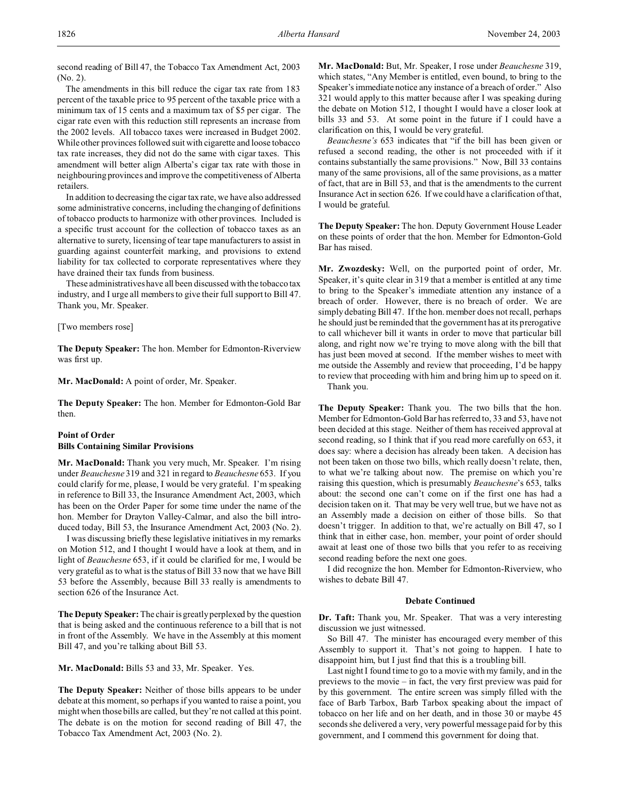second reading of Bill 47, the Tobacco Tax Amendment Act, 2003 (No. 2).

The amendments in this bill reduce the cigar tax rate from 183 percent of the taxable price to 95 percent of the taxable price with a minimum tax of 15 cents and a maximum tax of \$5 per cigar. The cigar rate even with this reduction still represents an increase from the 2002 levels. All tobacco taxes were increased in Budget 2002. While other provinces followed suit with cigarette and loose tobacco tax rate increases, they did not do the same with cigar taxes. This amendment will better align Alberta's cigar tax rate with those in neighbouring provinces and improve the competitiveness of Alberta retailers.

In addition to decreasing the cigar tax rate, we have also addressed some administrative concerns, including the changing of definitions of tobacco products to harmonize with other provinces. Included is a specific trust account for the collection of tobacco taxes as an alternative to surety, licensing of tear tape manufacturers to assist in guarding against counterfeit marking, and provisions to extend liability for tax collected to corporate representatives where they have drained their tax funds from business.

These administratives have all been discussed with the tobacco tax industry, and I urge all members to give their full support to Bill 47. Thank you, Mr. Speaker.

### [Two members rose]

**The Deputy Speaker:** The hon. Member for Edmonton-Riverview was first up.

**Mr. MacDonald:** A point of order, Mr. Speaker.

**The Deputy Speaker:** The hon. Member for Edmonton-Gold Bar then.

# **Point of Order Bills Containing Similar Provisions**

**Mr. MacDonald:** Thank you very much, Mr. Speaker. I'm rising under *Beauchesne* 319 and 321 in regard to *Beauchesne* 653. If you could clarify for me, please, I would be very grateful. I'm speaking in reference to Bill 33, the Insurance Amendment Act, 2003, which has been on the Order Paper for some time under the name of the hon. Member for Drayton Valley-Calmar, and also the bill introduced today, Bill 53, the Insurance Amendment Act, 2003 (No. 2).

I was discussing briefly these legislative initiatives in my remarks on Motion 512, and I thought I would have a look at them, and in light of *Beauchesne* 653, if it could be clarified for me, I would be very grateful as to what is the status of Bill 33 now that we have Bill 53 before the Assembly, because Bill 33 really is amendments to section 626 of the Insurance Act.

**The Deputy Speaker:** The chair is greatly perplexed by the question that is being asked and the continuous reference to a bill that is not in front of the Assembly. We have in the Assembly at this moment Bill 47, and you're talking about Bill 53.

**Mr. MacDonald:** Bills 53 and 33, Mr. Speaker. Yes.

**The Deputy Speaker:** Neither of those bills appears to be under debate at this moment, so perhaps if you wanted to raise a point, you might when those bills are called, but they're not called at this point. The debate is on the motion for second reading of Bill 47, the Tobacco Tax Amendment Act, 2003 (No. 2).

**Mr. MacDonald:** But, Mr. Speaker, I rose under *Beauchesne* 319, which states, "Any Member is entitled, even bound, to bring to the Speaker's immediate notice any instance of a breach of order." Also 321 would apply to this matter because after I was speaking during the debate on Motion 512, I thought I would have a closer look at bills 33 and 53. At some point in the future if I could have a clarification on this, I would be very grateful.

*Beauchesne's* 653 indicates that "if the bill has been given or refused a second reading, the other is not proceeded with if it contains substantially the same provisions." Now, Bill 33 contains many of the same provisions, all of the same provisions, as a matter of fact, that are in Bill 53, and that is the amendments to the current Insurance Act in section 626. If we could have a clarification of that, I would be grateful.

**The Deputy Speaker:** The hon. Deputy Government House Leader on these points of order that the hon. Member for Edmonton-Gold Bar has raised.

**Mr. Zwozdesky:** Well, on the purported point of order, Mr. Speaker, it's quite clear in 319 that a member is entitled at any time to bring to the Speaker's immediate attention any instance of a breach of order. However, there is no breach of order. We are simply debating Bill 47. If the hon. member does not recall, perhaps he should just be reminded that the government has at its prerogative to call whichever bill it wants in order to move that particular bill along, and right now we're trying to move along with the bill that has just been moved at second. If the member wishes to meet with me outside the Assembly and review that proceeding, I'd be happy to review that proceeding with him and bring him up to speed on it. Thank you.

**The Deputy Speaker:** Thank you. The two bills that the hon. Member for Edmonton-Gold Bar has referred to, 33 and 53, have not been decided at this stage. Neither of them has received approval at second reading, so I think that if you read more carefully on 653, it does say: where a decision has already been taken. A decision has not been taken on those two bills, which really doesn't relate, then, to what we're talking about now. The premise on which you're raising this question, which is presumably *Beauchesne*'s 653, talks about: the second one can't come on if the first one has had a decision taken on it. That may be very well true, but we have not as an Assembly made a decision on either of those bills. So that doesn't trigger. In addition to that, we're actually on Bill 47, so I think that in either case, hon. member, your point of order should await at least one of those two bills that you refer to as receiving second reading before the next one goes.

I did recognize the hon. Member for Edmonton-Riverview, who wishes to debate Bill 47.

# **Debate Continued**

**Dr. Taft:** Thank you, Mr. Speaker. That was a very interesting discussion we just witnessed.

So Bill 47. The minister has encouraged every member of this Assembly to support it. That's not going to happen. I hate to disappoint him, but I just find that this is a troubling bill.

Last night I found time to go to a movie with my family, and in the previews to the movie – in fact, the very first preview was paid for by this government. The entire screen was simply filled with the face of Barb Tarbox, Barb Tarbox speaking about the impact of tobacco on her life and on her death, and in those 30 or maybe 45 seconds she delivered a very, very powerful message paid for by this government, and I commend this government for doing that.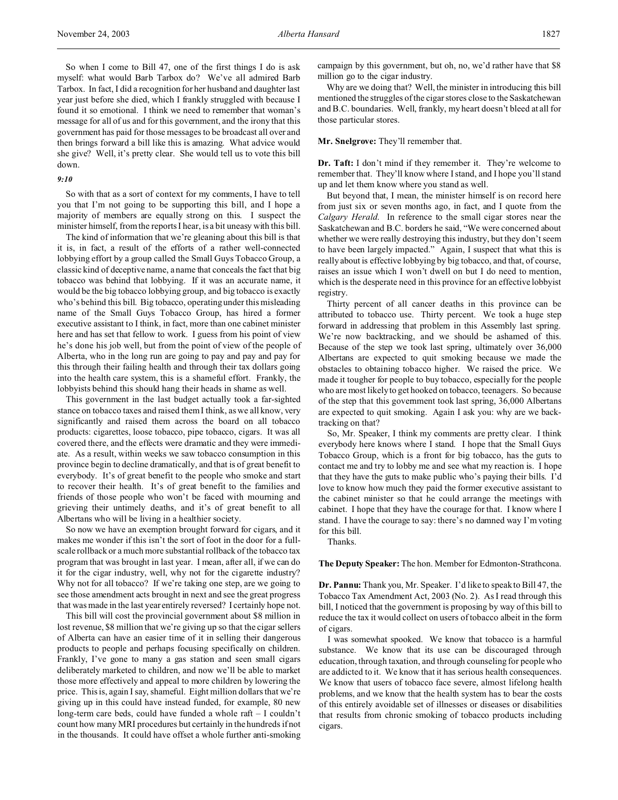So when I come to Bill 47, one of the first things I do is ask myself: what would Barb Tarbox do? We've all admired Barb Tarbox. In fact, I did a recognition for her husband and daughter last year just before she died, which I frankly struggled with because I found it so emotional. I think we need to remember that woman's message for all of us and for this government, and the irony that this government has paid for those messages to be broadcast all over and then brings forward a bill like this is amazing. What advice would she give? Well, it's pretty clear. She would tell us to vote this bill down.

# *9:10*

So with that as a sort of context for my comments, I have to tell you that I'm not going to be supporting this bill, and I hope a majority of members are equally strong on this. I suspect the minister himself, from the reports I hear, is a bit uneasy with this bill.

The kind of information that we're gleaning about this bill is that it is, in fact, a result of the efforts of a rather well-connected lobbying effort by a group called the Small Guys Tobacco Group, a classic kind of deceptive name, a name that conceals the fact that big tobacco was behind that lobbying. If it was an accurate name, it would be the big tobacco lobbying group, and big tobacco is exactly who's behind this bill. Big tobacco, operating under this misleading name of the Small Guys Tobacco Group, has hired a former executive assistant to I think, in fact, more than one cabinet minister here and has set that fellow to work. I guess from his point of view he's done his job well, but from the point of view of the people of Alberta, who in the long run are going to pay and pay and pay for this through their failing health and through their tax dollars going into the health care system, this is a shameful effort. Frankly, the lobbyists behind this should hang their heads in shame as well.

This government in the last budget actually took a far-sighted stance on tobacco taxes and raised them I think, as we all know, very significantly and raised them across the board on all tobacco products: cigarettes, loose tobacco, pipe tobacco, cigars. It was all covered there, and the effects were dramatic and they were immediate. As a result, within weeks we saw tobacco consumption in this province begin to decline dramatically, and that is of great benefit to everybody. It's of great benefit to the people who smoke and start to recover their health. It's of great benefit to the families and friends of those people who won't be faced with mourning and grieving their untimely deaths, and it's of great benefit to all Albertans who will be living in a healthier society.

So now we have an exemption brought forward for cigars, and it makes me wonder if this isn't the sort of foot in the door for a fullscale rollback or a much more substantial rollback of the tobacco tax program that was brought in last year. I mean, after all, if we can do it for the cigar industry, well, why not for the cigarette industry? Why not for all tobacco? If we're taking one step, are we going to see those amendment acts brought in next and see the great progress that was made in the last year entirely reversed? I certainly hope not.

This bill will cost the provincial government about \$8 million in lost revenue, \$8 million that we're giving up so that the cigar sellers of Alberta can have an easier time of it in selling their dangerous products to people and perhaps focusing specifically on children. Frankly, I've gone to many a gas station and seen small cigars deliberately marketed to children, and now we'll be able to market those more effectively and appeal to more children by lowering the price. This is, again I say, shameful. Eight million dollars that we're giving up in this could have instead funded, for example, 80 new long-term care beds, could have funded a whole raft – I couldn't count how many MRI procedures but certainly in the hundreds if not in the thousands. It could have offset a whole further anti-smoking campaign by this government, but oh, no, we'd rather have that \$8 million go to the cigar industry.

Why are we doing that? Well, the minister in introducing this bill mentioned the struggles of the cigar stores close to the Saskatchewan and B.C. boundaries. Well, frankly, my heart doesn't bleed at all for those particular stores.

### **Mr. Snelgrove:** They'll remember that.

**Dr. Taft:** I don't mind if they remember it. They're welcome to remember that. They'll know where I stand, and I hope you'll stand up and let them know where you stand as well.

But beyond that, I mean, the minister himself is on record here from just six or seven months ago, in fact, and I quote from the *Calgary Herald*. In reference to the small cigar stores near the Saskatchewan and B.C. borders he said, "We were concerned about whether we were really destroying this industry, but they don't seem to have been largely impacted." Again, I suspect that what this is really about is effective lobbying by big tobacco, and that, of course, raises an issue which I won't dwell on but I do need to mention, which is the desperate need in this province for an effective lobbyist registry.

Thirty percent of all cancer deaths in this province can be attributed to tobacco use. Thirty percent. We took a huge step forward in addressing that problem in this Assembly last spring. We're now backtracking, and we should be ashamed of this. Because of the step we took last spring, ultimately over 36,000 Albertans are expected to quit smoking because we made the obstacles to obtaining tobacco higher. We raised the price. We made it tougher for people to buy tobacco, especially for the people who are most likely to get hooked on tobacco, teenagers. So because of the step that this government took last spring, 36,000 Albertans are expected to quit smoking. Again I ask you: why are we backtracking on that?

So, Mr. Speaker, I think my comments are pretty clear. I think everybody here knows where I stand. I hope that the Small Guys Tobacco Group, which is a front for big tobacco, has the guts to contact me and try to lobby me and see what my reaction is. I hope that they have the guts to make public who's paying their bills. I'd love to know how much they paid the former executive assistant to the cabinet minister so that he could arrange the meetings with cabinet. I hope that they have the courage for that. I know where I stand. I have the courage to say: there's no damned way I'm voting for this bill.

Thanks.

### **The Deputy Speaker:** The hon. Member for Edmonton-Strathcona.

**Dr. Pannu:** Thank you, Mr. Speaker. I'd like to speak to Bill 47, the Tobacco Tax Amendment Act, 2003 (No. 2). As I read through this bill, I noticed that the government is proposing by way of this bill to reduce the tax it would collect on users of tobacco albeit in the form of cigars.

I was somewhat spooked. We know that tobacco is a harmful substance. We know that its use can be discouraged through education, through taxation, and through counseling for people who are addicted to it. We know that it has serious health consequences. We know that users of tobacco face severe, almost lifelong health problems, and we know that the health system has to bear the costs of this entirely avoidable set of illnesses or diseases or disabilities that results from chronic smoking of tobacco products including cigars.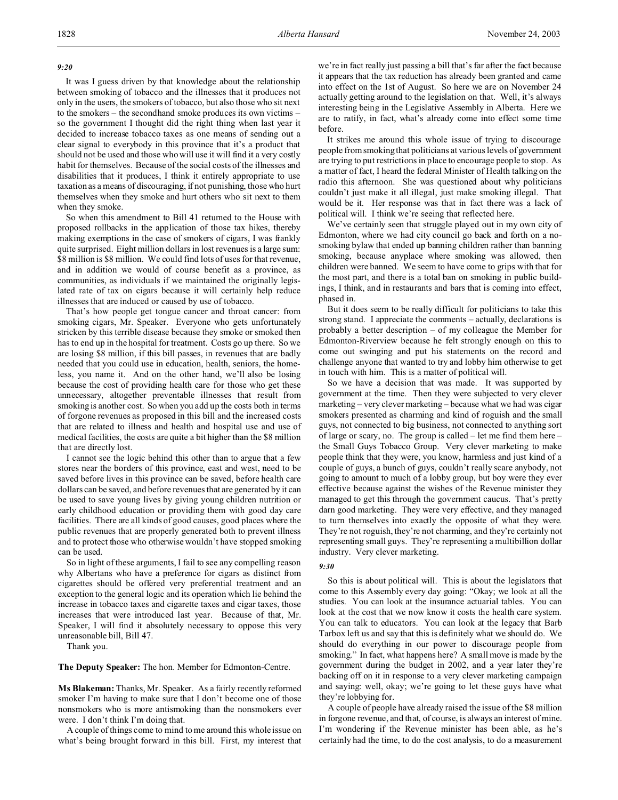## *9:20*

It was I guess driven by that knowledge about the relationship between smoking of tobacco and the illnesses that it produces not only in the users, the smokers of tobacco, but also those who sit next to the smokers – the secondhand smoke produces its own victims – so the government I thought did the right thing when last year it decided to increase tobacco taxes as one means of sending out a clear signal to everybody in this province that it's a product that should not be used and those who will use it will find it a very costly habit for themselves. Because of the social costs of the illnesses and disabilities that it produces, I think it entirely appropriate to use taxation as a means of discouraging, if not punishing, those who hurt themselves when they smoke and hurt others who sit next to them when they smoke.

So when this amendment to Bill 41 returned to the House with proposed rollbacks in the application of those tax hikes, thereby making exemptions in the case of smokers of cigars, I was frankly quite surprised. Eight million dollars in lost revenues is a large sum: \$8 million is \$8 million. We could find lots of uses for that revenue, and in addition we would of course benefit as a province, as communities, as individuals if we maintained the originally legislated rate of tax on cigars because it will certainly help reduce illnesses that are induced or caused by use of tobacco.

That's how people get tongue cancer and throat cancer: from smoking cigars, Mr. Speaker. Everyone who gets unfortunately stricken by this terrible disease because they smoke or smoked then has to end up in the hospital for treatment. Costs go up there. So we are losing \$8 million, if this bill passes, in revenues that are badly needed that you could use in education, health, seniors, the homeless, you name it. And on the other hand, we'll also be losing because the cost of providing health care for those who get these unnecessary, altogether preventable illnesses that result from smoking is another cost. So when you add up the costs both in terms of forgone revenues as proposed in this bill and the increased costs that are related to illness and health and hospital use and use of medical facilities, the costs are quite a bit higher than the \$8 million that are directly lost.

I cannot see the logic behind this other than to argue that a few stores near the borders of this province, east and west, need to be saved before lives in this province can be saved, before health care dollars can be saved, and before revenues that are generated by it can be used to save young lives by giving young children nutrition or early childhood education or providing them with good day care facilities. There are all kinds of good causes, good places where the public revenues that are properly generated both to prevent illness and to protect those who otherwise wouldn't have stopped smoking can be used.

So in light of these arguments, I fail to see any compelling reason why Albertans who have a preference for cigars as distinct from cigarettes should be offered very preferential treatment and an exception to the general logic and its operation which lie behind the increase in tobacco taxes and cigarette taxes and cigar taxes, those increases that were introduced last year. Because of that, Mr. Speaker, I will find it absolutely necessary to oppose this very unreasonable bill, Bill 47.

Thank you.

**The Deputy Speaker:** The hon. Member for Edmonton-Centre.

**Ms Blakeman:** Thanks, Mr. Speaker. As a fairly recently reformed smoker I'm having to make sure that I don't become one of those nonsmokers who is more antismoking than the nonsmokers ever were. I don't think I'm doing that.

A couple of things come to mind to me around this whole issue on what's being brought forward in this bill. First, my interest that we're in fact really just passing a bill that's far after the fact because it appears that the tax reduction has already been granted and came into effect on the 1st of August. So here we are on November 24 actually getting around to the legislation on that. Well, it's always interesting being in the Legislative Assembly in Alberta. Here we are to ratify, in fact, what's already come into effect some time before.

It strikes me around this whole issue of trying to discourage people from smoking that politicians at various levels of government are trying to put restrictions in place to encourage people to stop. As a matter of fact, I heard the federal Minister of Health talking on the radio this afternoon. She was questioned about why politicians couldn't just make it all illegal, just make smoking illegal. That would be it. Her response was that in fact there was a lack of political will. I think we're seeing that reflected here.

We've certainly seen that struggle played out in my own city of Edmonton, where we had city council go back and forth on a nosmoking bylaw that ended up banning children rather than banning smoking, because anyplace where smoking was allowed, then children were banned. We seem to have come to grips with that for the most part, and there is a total ban on smoking in public buildings, I think, and in restaurants and bars that is coming into effect, phased in.

But it does seem to be really difficult for politicians to take this strong stand. I appreciate the comments – actually, declarations is probably a better description – of my colleague the Member for Edmonton-Riverview because he felt strongly enough on this to come out swinging and put his statements on the record and challenge anyone that wanted to try and lobby him otherwise to get in touch with him. This is a matter of political will.

So we have a decision that was made. It was supported by government at the time. Then they were subjected to very clever marketing – very clever marketing – because what we had was cigar smokers presented as charming and kind of roguish and the small guys, not connected to big business, not connected to anything sort of large or scary, no. The group is called – let me find them here – the Small Guys Tobacco Group. Very clever marketing to make people think that they were, you know, harmless and just kind of a couple of guys, a bunch of guys, couldn't really scare anybody, not going to amount to much of a lobby group, but boy were they ever effective because against the wishes of the Revenue minister they managed to get this through the government caucus. That's pretty darn good marketing. They were very effective, and they managed to turn themselves into exactly the opposite of what they were. They're not roguish, they're not charming, and they're certainly not representing small guys. They're representing a multibillion dollar industry. Very clever marketing.

### *9:30*

So this is about political will. This is about the legislators that come to this Assembly every day going: "Okay; we look at all the studies. You can look at the insurance actuarial tables. You can look at the cost that we now know it costs the health care system. You can talk to educators. You can look at the legacy that Barb Tarbox left us and say that this is definitely what we should do. We should do everything in our power to discourage people from smoking." In fact, what happens here? A small move is made by the government during the budget in 2002, and a year later they're backing off on it in response to a very clever marketing campaign and saying: well, okay; we're going to let these guys have what they're lobbying for.

A couple of people have already raised the issue of the \$8 million in forgone revenue, and that, of course, is always an interest of mine. I'm wondering if the Revenue minister has been able, as he's certainly had the time, to do the cost analysis, to do a measurement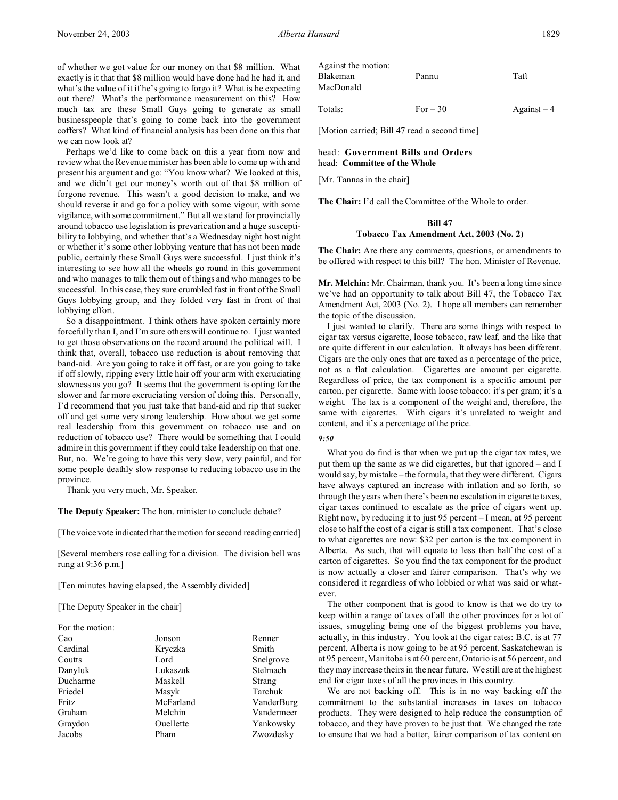of whether we got value for our money on that \$8 million. What exactly is it that that \$8 million would have done had he had it, and what's the value of it if he's going to forgo it? What is he expecting out there? What's the performance measurement on this? How much tax are these Small Guys going to generate as small businesspeople that's going to come back into the government coffers? What kind of financial analysis has been done on this that we can now look at?

Perhaps we'd like to come back on this a year from now and review what the Revenue minister has been able to come up with and present his argument and go: "You know what? We looked at this, and we didn't get our money's worth out of that \$8 million of forgone revenue. This wasn't a good decision to make, and we should reverse it and go for a policy with some vigour, with some vigilance, with some commitment." But all we stand for provincially around tobacco use legislation is prevarication and a huge susceptibility to lobbying, and whether that's a Wednesday night host night or whether it's some other lobbying venture that has not been made public, certainly these Small Guys were successful. I just think it's interesting to see how all the wheels go round in this government and who manages to talk them out of things and who manages to be successful. In this case, they sure crumbled fast in front of the Small Guys lobbying group, and they folded very fast in front of that lobbying effort.

So a disappointment. I think others have spoken certainly more forcefully than I, and I'm sure others will continue to. I just wanted to get those observations on the record around the political will. I think that, overall, tobacco use reduction is about removing that band-aid. Are you going to take it off fast, or are you going to take if off slowly, ripping every little hair off your arm with excruciating slowness as you go? It seems that the government is opting for the slower and far more excruciating version of doing this. Personally, I'd recommend that you just take that band-aid and rip that sucker off and get some very strong leadership. How about we get some real leadership from this government on tobacco use and on reduction of tobacco use? There would be something that I could admire in this government if they could take leadership on that one. But, no. We're going to have this very slow, very painful, and for some people deathly slow response to reducing tobacco use in the province.

Thank you very much, Mr. Speaker.

### **The Deputy Speaker:** The hon. minister to conclude debate?

[The voice vote indicated that the motion for second reading carried]

[Several members rose calling for a division. The division bell was rung at 9:36 p.m.]

[Ten minutes having elapsed, the Assembly divided]

[The Deputy Speaker in the chair]

| For the motion: |           |            |
|-----------------|-----------|------------|
| Cao             | Jonson    | Renner     |
| Cardinal        | Kryczka   | Smith      |
| Coutts          | Lord      | Snelgrove  |
| Danyluk         | Lukaszuk  | Stelmach   |
| Ducharme        | Maskell   | Strang     |
| Friedel         | Masyk     | Tarchuk    |
| Fritz           | McFarland | VanderBurg |
| Graham          | Melchin   | Vandermeer |
| Graydon         | Ouellette | Yankowsky  |
| Jacobs          | Pham      | Zwozdesky  |
|                 |           |            |

Blakeman Pannu Taft MacDonald Totals:  $For -30$  Against  $-4$ 

[Motion carried; Bill 47 read a second time]

## head: **Government Bills and Orders** head: **Committee of the Whole**

[Mr. Tannas in the chair]

Against the motion:

**The Chair:** I'd call the Committee of the Whole to order.

# **Bill 47 Tobacco Tax Amendment Act, 2003 (No. 2)**

**The Chair:** Are there any comments, questions, or amendments to be offered with respect to this bill? The hon. Minister of Revenue.

**Mr. Melchin:** Mr. Chairman, thank you. It's been a long time since we've had an opportunity to talk about Bill 47, the Tobacco Tax Amendment Act, 2003 (No. 2). I hope all members can remember the topic of the discussion.

I just wanted to clarify. There are some things with respect to cigar tax versus cigarette, loose tobacco, raw leaf, and the like that are quite different in our calculation. It always has been different. Cigars are the only ones that are taxed as a percentage of the price, not as a flat calculation. Cigarettes are amount per cigarette. Regardless of price, the tax component is a specific amount per carton, per cigarette. Same with loose tobacco: it's per gram; it's a weight. The tax is a component of the weight and, therefore, the same with cigarettes. With cigars it's unrelated to weight and content, and it's a percentage of the price.

### *9:50*

What you do find is that when we put up the cigar tax rates, we put them up the same as we did cigarettes, but that ignored – and I would say, by mistake – the formula, that they were different. Cigars have always captured an increase with inflation and so forth, so through the years when there's been no escalation in cigarette taxes, cigar taxes continued to escalate as the price of cigars went up. Right now, by reducing it to just 95 percent – I mean, at 95 percent close to half the cost of a cigar is still a tax component. That's close to what cigarettes are now: \$32 per carton is the tax component in Alberta. As such, that will equate to less than half the cost of a carton of cigarettes. So you find the tax component for the product is now actually a closer and fairer comparison. That's why we considered it regardless of who lobbied or what was said or whatever.

The other component that is good to know is that we do try to keep within a range of taxes of all the other provinces for a lot of issues, smuggling being one of the biggest problems you have, actually, in this industry. You look at the cigar rates: B.C. is at 77 percent, Alberta is now going to be at 95 percent, Saskatchewan is at 95 percent, Manitoba is at 60 percent, Ontario is at 56 percent, and they may increase theirs in the near future. We still are at the highest end for cigar taxes of all the provinces in this country.

We are not backing off. This is in no way backing off the commitment to the substantial increases in taxes on tobacco products. They were designed to help reduce the consumption of tobacco, and they have proven to be just that. We changed the rate to ensure that we had a better, fairer comparison of tax content on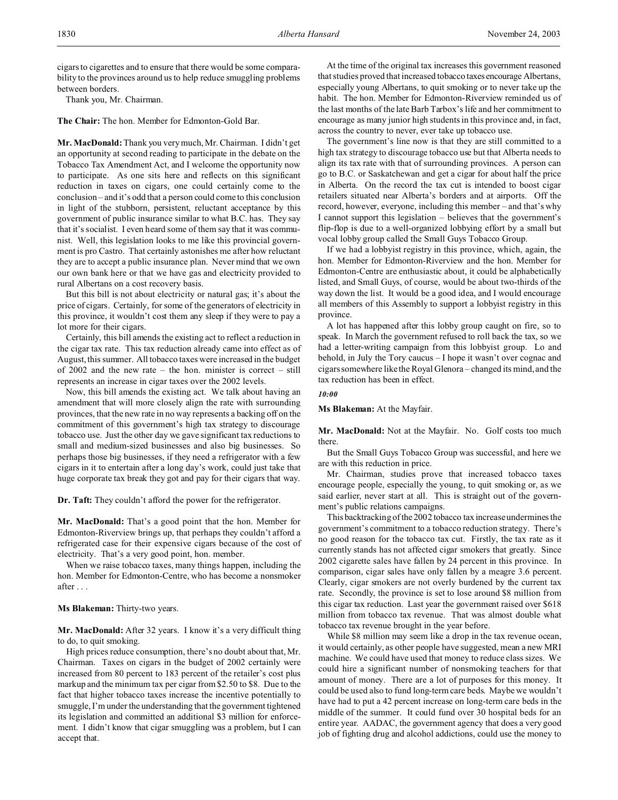cigars to cigarettes and to ensure that there would be some comparability to the provinces around us to help reduce smuggling problems between borders.

Thank you, Mr. Chairman.

**The Chair:** The hon. Member for Edmonton-Gold Bar.

**Mr. MacDonald:** Thank you very much, Mr. Chairman. I didn't get an opportunity at second reading to participate in the debate on the Tobacco Tax Amendment Act, and I welcome the opportunity now to participate. As one sits here and reflects on this significant reduction in taxes on cigars, one could certainly come to the conclusion – and it's odd that a person could come to this conclusion in light of the stubborn, persistent, reluctant acceptance by this government of public insurance similar to what B.C. has. They say that it's socialist. I even heard some of them say that it was communist. Well, this legislation looks to me like this provincial government is pro Castro. That certainly astonishes me after how reluctant they are to accept a public insurance plan. Never mind that we own our own bank here or that we have gas and electricity provided to rural Albertans on a cost recovery basis.

But this bill is not about electricity or natural gas; it's about the price of cigars. Certainly, for some of the generators of electricity in this province, it wouldn't cost them any sleep if they were to pay a lot more for their cigars.

Certainly, this bill amends the existing act to reflect a reduction in the cigar tax rate. This tax reduction already came into effect as of August, this summer. All tobacco taxes were increased in the budget of 2002 and the new rate – the hon. minister is correct – still represents an increase in cigar taxes over the 2002 levels.

Now, this bill amends the existing act. We talk about having an amendment that will more closely align the rate with surrounding provinces, that the new rate in no way represents a backing off on the commitment of this government's high tax strategy to discourage tobacco use. Just the other day we gave significant tax reductions to small and medium-sized businesses and also big businesses. So perhaps those big businesses, if they need a refrigerator with a few cigars in it to entertain after a long day's work, could just take that huge corporate tax break they got and pay for their cigars that way.

**Dr. Taft:** They couldn't afford the power for the refrigerator.

**Mr. MacDonald:** That's a good point that the hon. Member for Edmonton-Riverview brings up, that perhaps they couldn't afford a refrigerated case for their expensive cigars because of the cost of electricity. That's a very good point, hon. member.

When we raise tobacco taxes, many things happen, including the hon. Member for Edmonton-Centre, who has become a nonsmoker after . . .

# **Ms Blakeman:** Thirty-two years.

**Mr. MacDonald:** After 32 years. I know it's a very difficult thing to do, to quit smoking.

High prices reduce consumption, there's no doubt about that, Mr. Chairman. Taxes on cigars in the budget of 2002 certainly were increased from 80 percent to 183 percent of the retailer's cost plus markup and the minimum tax per cigar from \$2.50 to \$8. Due to the fact that higher tobacco taxes increase the incentive potentially to smuggle, I'm under the understanding that the government tightened its legislation and committed an additional \$3 million for enforcement. I didn't know that cigar smuggling was a problem, but I can accept that.

At the time of the original tax increases this government reasoned that studies proved that increased tobacco taxes encourage Albertans, especially young Albertans, to quit smoking or to never take up the habit. The hon. Member for Edmonton-Riverview reminded us of the last months of the late Barb Tarbox's life and her commitment to encourage as many junior high students in this province and, in fact, across the country to never, ever take up tobacco use.

The government's line now is that they are still committed to a high tax strategy to discourage tobacco use but that Alberta needs to align its tax rate with that of surrounding provinces. A person can go to B.C. or Saskatchewan and get a cigar for about half the price in Alberta. On the record the tax cut is intended to boost cigar retailers situated near Alberta's borders and at airports. Off the record, however, everyone, including this member – and that's why I cannot support this legislation – believes that the government's flip-flop is due to a well-organized lobbying effort by a small but vocal lobby group called the Small Guys Tobacco Group.

If we had a lobbyist registry in this province, which, again, the hon. Member for Edmonton-Riverview and the hon. Member for Edmonton-Centre are enthusiastic about, it could be alphabetically listed, and Small Guys, of course, would be about two-thirds of the way down the list. It would be a good idea, and I would encourage all members of this Assembly to support a lobbyist registry in this province.

A lot has happened after this lobby group caught on fire, so to speak. In March the government refused to roll back the tax, so we had a letter-writing campaign from this lobbyist group. Lo and behold, in July the Tory caucus – I hope it wasn't over cognac and cigars somewhere like the Royal Glenora – changed its mind, and the tax reduction has been in effect.

#### *10:00*

**Ms Blakeman:** At the Mayfair.

**Mr. MacDonald:** Not at the Mayfair. No. Golf costs too much there.

But the Small Guys Tobacco Group was successful, and here we are with this reduction in price.

Mr. Chairman, studies prove that increased tobacco taxes encourage people, especially the young, to quit smoking or, as we said earlier, never start at all. This is straight out of the government's public relations campaigns.

This backtracking of the 2002 tobacco tax increase undermines the government's commitment to a tobacco reduction strategy. There's no good reason for the tobacco tax cut. Firstly, the tax rate as it currently stands has not affected cigar smokers that greatly. Since 2002 cigarette sales have fallen by 24 percent in this province. In comparison, cigar sales have only fallen by a meagre 3.6 percent. Clearly, cigar smokers are not overly burdened by the current tax rate. Secondly, the province is set to lose around \$8 million from this cigar tax reduction. Last year the government raised over \$618 million from tobacco tax revenue. That was almost double what tobacco tax revenue brought in the year before.

While \$8 million may seem like a drop in the tax revenue ocean, it would certainly, as other people have suggested, mean a new MRI machine. We could have used that money to reduce class sizes. We could hire a significant number of nonsmoking teachers for that amount of money. There are a lot of purposes for this money. It could be used also to fund long-term care beds. Maybe we wouldn't have had to put a 42 percent increase on long-term care beds in the middle of the summer. It could fund over 30 hospital beds for an entire year. AADAC, the government agency that does a very good job of fighting drug and alcohol addictions, could use the money to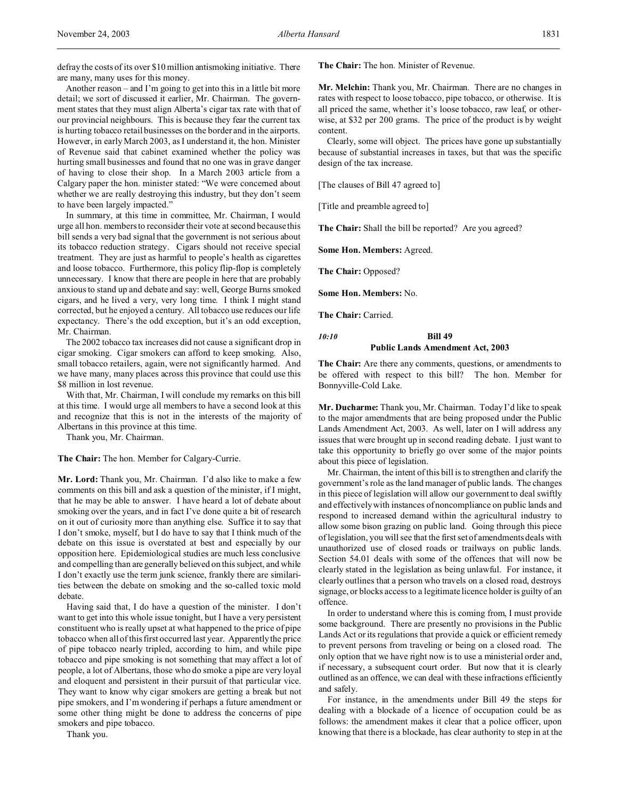defray the costs of its over \$10 million antismoking initiative. There are many, many uses for this money.

Another reason – and I'm going to get into this in a little bit more detail; we sort of discussed it earlier, Mr. Chairman. The government states that they must align Alberta's cigar tax rate with that of our provincial neighbours. This is because they fear the current tax is hurting tobacco retail businesses on the border and in the airports. However, in early March 2003, as I understand it, the hon. Minister of Revenue said that cabinet examined whether the policy was hurting small businesses and found that no one was in grave danger of having to close their shop. In a March 2003 article from a Calgary paper the hon. minister stated: "We were concerned about whether we are really destroying this industry, but they don't seem to have been largely impacted."

In summary, at this time in committee, Mr. Chairman, I would urge all hon. members to reconsider their vote at second because this bill sends a very bad signal that the government is not serious about its tobacco reduction strategy. Cigars should not receive special treatment. They are just as harmful to people's health as cigarettes and loose tobacco. Furthermore, this policy flip-flop is completely unnecessary. I know that there are people in here that are probably anxious to stand up and debate and say: well, George Burns smoked cigars, and he lived a very, very long time. I think I might stand corrected, but he enjoyed a century. All tobacco use reduces our life expectancy. There's the odd exception, but it's an odd exception, Mr. Chairman.

The 2002 tobacco tax increases did not cause a significant drop in cigar smoking. Cigar smokers can afford to keep smoking. Also, small tobacco retailers, again, were not significantly harmed. And we have many, many places across this province that could use this \$8 million in lost revenue.

With that, Mr. Chairman, I will conclude my remarks on this bill at this time. I would urge all members to have a second look at this and recognize that this is not in the interests of the majority of Albertans in this province at this time.

Thank you, Mr. Chairman.

**The Chair:** The hon. Member for Calgary-Currie.

**Mr. Lord:** Thank you, Mr. Chairman. I'd also like to make a few comments on this bill and ask a question of the minister, if I might, that he may be able to answer. I have heard a lot of debate about smoking over the years, and in fact I've done quite a bit of research on it out of curiosity more than anything else. Suffice it to say that I don't smoke, myself, but I do have to say that I think much of the debate on this issue is overstated at best and especially by our opposition here. Epidemiological studies are much less conclusive and compelling than are generally believed on this subject, and while I don't exactly use the term junk science, frankly there are similarities between the debate on smoking and the so-called toxic mold debate.

Having said that, I do have a question of the minister. I don't want to get into this whole issue tonight, but I have a very persistent constituent who is really upset at what happened to the price of pipe tobacco when all of this first occurred last year. Apparently the price of pipe tobacco nearly tripled, according to him, and while pipe tobacco and pipe smoking is not something that may affect a lot of people, a lot of Albertans, those who do smoke a pipe are very loyal and eloquent and persistent in their pursuit of that particular vice. They want to know why cigar smokers are getting a break but not pipe smokers, and I'm wondering if perhaps a future amendment or some other thing might be done to address the concerns of pipe smokers and pipe tobacco.

Thank you.

**The Chair:** The hon. Minister of Revenue.

**Mr. Melchin:** Thank you, Mr. Chairman. There are no changes in rates with respect to loose tobacco, pipe tobacco, or otherwise. It is all priced the same, whether it's loose tobacco, raw leaf, or otherwise, at \$32 per 200 grams. The price of the product is by weight content.

Clearly, some will object. The prices have gone up substantially because of substantial increases in taxes, but that was the specific design of the tax increase.

[The clauses of Bill 47 agreed to]

[Title and preamble agreed to]

**The Chair:** Shall the bill be reported? Are you agreed?

**Some Hon. Members:** Agreed.

**The Chair:** Opposed?

**Some Hon. Members:** No.

**The Chair:** Carried.

# *10:10* **Bill 49 Public Lands Amendment Act, 2003**

**The Chair:** Are there any comments, questions, or amendments to be offered with respect to this bill? The hon. Member for Bonnyville-Cold Lake.

**Mr. Ducharme:** Thank you, Mr. Chairman. Today I'd like to speak to the major amendments that are being proposed under the Public Lands Amendment Act, 2003. As well, later on I will address any issues that were brought up in second reading debate. I just want to take this opportunity to briefly go over some of the major points about this piece of legislation.

Mr. Chairman, the intent of this bill is to strengthen and clarify the government's role as the land manager of public lands. The changes in this piece of legislation will allow our government to deal swiftly and effectively with instances of noncompliance on public lands and respond to increased demand within the agricultural industry to allow some bison grazing on public land. Going through this piece of legislation, you will see that the first set of amendments deals with unauthorized use of closed roads or trailways on public lands. Section 54.01 deals with some of the offences that will now be clearly stated in the legislation as being unlawful. For instance, it clearly outlines that a person who travels on a closed road, destroys signage, or blocks access to a legitimate licence holder is guilty of an offence.

In order to understand where this is coming from, I must provide some background. There are presently no provisions in the Public Lands Act or its regulations that provide a quick or efficient remedy to prevent persons from traveling or being on a closed road. The only option that we have right now is to use a ministerial order and, if necessary, a subsequent court order. But now that it is clearly outlined as an offence, we can deal with these infractions efficiently and safely.

For instance, in the amendments under Bill 49 the steps for dealing with a blockade of a licence of occupation could be as follows: the amendment makes it clear that a police officer, upon knowing that there is a blockade, has clear authority to step in at the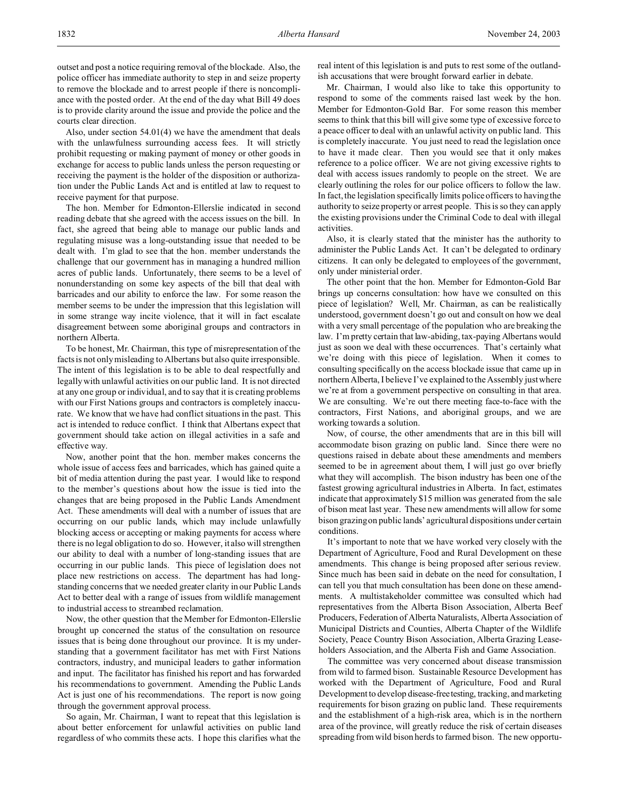outset and post a notice requiring removal of the blockade. Also, the police officer has immediate authority to step in and seize property to remove the blockade and to arrest people if there is noncompliance with the posted order. At the end of the day what Bill 49 does is to provide clarity around the issue and provide the police and the courts clear direction.

Also, under section 54.01(4) we have the amendment that deals with the unlawfulness surrounding access fees. It will strictly prohibit requesting or making payment of money or other goods in exchange for access to public lands unless the person requesting or receiving the payment is the holder of the disposition or authorization under the Public Lands Act and is entitled at law to request to receive payment for that purpose.

The hon. Member for Edmonton-Ellerslie indicated in second reading debate that she agreed with the access issues on the bill. In fact, she agreed that being able to manage our public lands and regulating misuse was a long-outstanding issue that needed to be dealt with. I'm glad to see that the hon. member understands the challenge that our government has in managing a hundred million acres of public lands. Unfortunately, there seems to be a level of nonunderstanding on some key aspects of the bill that deal with barricades and our ability to enforce the law. For some reason the member seems to be under the impression that this legislation will in some strange way incite violence, that it will in fact escalate disagreement between some aboriginal groups and contractors in northern Alberta.

To be honest, Mr. Chairman, this type of misrepresentation of the facts is not only misleading to Albertans but also quite irresponsible. The intent of this legislation is to be able to deal respectfully and legally with unlawful activities on our public land. It is not directed at any one group or individual, and to say that it is creating problems with our First Nations groups and contractors is completely inaccurate. We know that we have had conflict situations in the past. This act is intended to reduce conflict. I think that Albertans expect that government should take action on illegal activities in a safe and effective way.

Now, another point that the hon. member makes concerns the whole issue of access fees and barricades, which has gained quite a bit of media attention during the past year. I would like to respond to the member's questions about how the issue is tied into the changes that are being proposed in the Public Lands Amendment Act. These amendments will deal with a number of issues that are occurring on our public lands, which may include unlawfully blocking access or accepting or making payments for access where there is no legal obligation to do so. However, it also will strengthen our ability to deal with a number of long-standing issues that are occurring in our public lands. This piece of legislation does not place new restrictions on access. The department has had longstanding concerns that we needed greater clarity in our Public Lands Act to better deal with a range of issues from wildlife management to industrial access to streambed reclamation.

Now, the other question that the Member for Edmonton-Ellerslie brought up concerned the status of the consultation on resource issues that is being done throughout our province. It is my understanding that a government facilitator has met with First Nations contractors, industry, and municipal leaders to gather information and input. The facilitator has finished his report and has forwarded his recommendations to government. Amending the Public Lands Act is just one of his recommendations. The report is now going through the government approval process.

So again, Mr. Chairman, I want to repeat that this legislation is about better enforcement for unlawful activities on public land regardless of who commits these acts. I hope this clarifies what the

real intent of this legislation is and puts to rest some of the outlandish accusations that were brought forward earlier in debate.

Mr. Chairman, I would also like to take this opportunity to respond to some of the comments raised last week by the hon. Member for Edmonton-Gold Bar. For some reason this member seems to think that this bill will give some type of excessive force to a peace officer to deal with an unlawful activity on public land. This is completely inaccurate. You just need to read the legislation once to have it made clear. Then you would see that it only makes reference to a police officer. We are not giving excessive rights to deal with access issues randomly to people on the street. We are clearly outlining the roles for our police officers to follow the law. In fact, the legislation specifically limits police officers to having the authority to seize property or arrest people. This is so they can apply the existing provisions under the Criminal Code to deal with illegal activities.

Also, it is clearly stated that the minister has the authority to administer the Public Lands Act. It can't be delegated to ordinary citizens. It can only be delegated to employees of the government, only under ministerial order.

The other point that the hon. Member for Edmonton-Gold Bar brings up concerns consultation: how have we consulted on this piece of legislation? Well, Mr. Chairman, as can be realistically understood, government doesn't go out and consult on how we deal with a very small percentage of the population who are breaking the law. I'm pretty certain that law-abiding, tax-paying Albertans would just as soon we deal with these occurrences. That's certainly what we're doing with this piece of legislation. When it comes to consulting specifically on the access blockade issue that came up in northern Alberta, I believe I've explained to the Assembly just where we're at from a government perspective on consulting in that area. We are consulting. We're out there meeting face-to-face with the contractors, First Nations, and aboriginal groups, and we are working towards a solution.

Now, of course, the other amendments that are in this bill will accommodate bison grazing on public land. Since there were no questions raised in debate about these amendments and members seemed to be in agreement about them, I will just go over briefly what they will accomplish. The bison industry has been one of the fastest growing agricultural industries in Alberta. In fact, estimates indicate that approximately \$15 million was generated from the sale of bison meat last year. These new amendments will allow for some bison grazing on public lands' agricultural dispositions under certain conditions.

It's important to note that we have worked very closely with the Department of Agriculture, Food and Rural Development on these amendments. This change is being proposed after serious review. Since much has been said in debate on the need for consultation, I can tell you that much consultation has been done on these amendments. A multistakeholder committee was consulted which had representatives from the Alberta Bison Association, Alberta Beef Producers, Federation of Alberta Naturalists, Alberta Association of Municipal Districts and Counties, Alberta Chapter of the Wildlife Society, Peace Country Bison Association, Alberta Grazing Leaseholders Association, and the Alberta Fish and Game Association.

The committee was very concerned about disease transmission from wild to farmed bison. Sustainable Resource Development has worked with the Department of Agriculture, Food and Rural Development to develop disease-freetesting, tracking, and marketing requirements for bison grazing on public land. These requirements and the establishment of a high-risk area, which is in the northern area of the province, will greatly reduce the risk of certain diseases spreading from wild bison herds to farmed bison. The new opportu-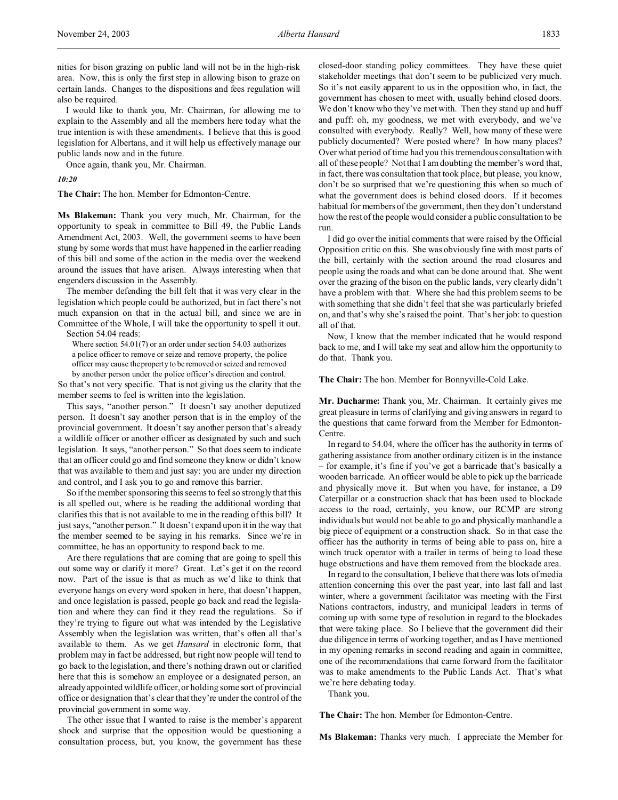I would like to thank you, Mr. Chairman, for allowing me to explain to the Assembly and all the members here today what the true intention is with these amendments. I believe that this is good legislation for Albertans, and it will help us effectively manage our public lands now and in the future.

Once again, thank you, Mr. Chairman.

*10:20*

**The Chair:** The hon. Member for Edmonton-Centre.

**Ms Blakeman:** Thank you very much, Mr. Chairman, for the opportunity to speak in committee to Bill 49, the Public Lands Amendment Act, 2003. Well, the government seems to have been stung by some words that must have happened in the earlier reading of this bill and some of the action in the media over the weekend around the issues that have arisen. Always interesting when that engenders discussion in the Assembly.

The member defending the bill felt that it was very clear in the legislation which people could be authorized, but in fact there's not much expansion on that in the actual bill, and since we are in Committee of the Whole, I will take the opportunity to spell it out. Section 54.04 reads:

Where section 54.01(7) or an order under section 54.03 authorizes a police officer to remove or seize and remove property, the police

officer may cause the property to be removed or seized and removed

by another person under the police officer's direction and control.

So that's not very specific. That is not giving us the clarity that the member seems to feel is written into the legislation.

This says, "another person." It doesn't say another deputized person. It doesn't say another person that is in the employ of the provincial government. It doesn't say another person that's already a wildlife officer or another officer as designated by such and such legislation. It says, "another person." So that does seem to indicate that an officer could go and find someone they know or didn't know that was available to them and just say: you are under my direction and control, and I ask you to go and remove this barrier.

So if the member sponsoring this seems to feel so strongly that this is all spelled out, where is he reading the additional wording that clarifies this that is not available to me in the reading of this bill? It just says, "another person." It doesn't expand upon it in the way that the member seemed to be saying in his remarks. Since we're in committee, he has an opportunity to respond back to me.

Are there regulations that are coming that are going to spell this out some way or clarify it more? Great. Let's get it on the record now. Part of the issue is that as much as we'd like to think that everyone hangs on every word spoken in here, that doesn't happen, and once legislation is passed, people go back and read the legislation and where they can find it they read the regulations. So if they're trying to figure out what was intended by the Legislative Assembly when the legislation was written, that's often all that's available to them. As we get *Hansard* in electronic form, that problem may in fact be addressed, but right now people will tend to go back to the legislation, and there's nothing drawn out or clarified here that this is somehow an employee or a designated person, an already appointed wildlife officer, or holding some sort of provincial office or designation that's clear that they're under the control of the provincial government in some way.

The other issue that I wanted to raise is the member's apparent shock and surprise that the opposition would be questioning a consultation process, but, you know, the government has these

closed-door standing policy committees. They have these quiet stakeholder meetings that don't seem to be publicized very much. So it's not easily apparent to us in the opposition who, in fact, the government has chosen to meet with, usually behind closed doors. We don't know who they've met with. Then they stand up and huff and puff: oh, my goodness, we met with everybody, and we've consulted with everybody. Really? Well, how many of these were publicly documented? Were posted where? In how many places? Over what period of time had you this tremendous consultation with all of these people? Not that I am doubting the member's word that, in fact, there was consultation that took place, but please, you know, don't be so surprised that we're questioning this when so much of what the government does is behind closed doors. If it becomes habitual for members of the government, then they don't understand how the rest of the people would consider a public consultation to be run.

I did go over the initial comments that were raised by the Official Opposition critic on this. She was obviously fine with most parts of the bill, certainly with the section around the road closures and people using the roads and what can be done around that. She went over the grazing of the bison on the public lands, very clearly didn't have a problem with that. Where she had this problem seems to be with something that she didn't feel that she was particularly briefed on, and that's why she's raised the point. That's her job: to question all of that.

Now, I know that the member indicated that he would respond back to me, and I will take my seat and allow him the opportunity to do that. Thank you.

**The Chair:** The hon. Member for Bonnyville-Cold Lake.

**Mr. Ducharme:** Thank you, Mr. Chairman. It certainly gives me great pleasure in terms of clarifying and giving answers in regard to the questions that came forward from the Member for Edmonton-Centre.

In regard to 54.04, where the officer has the authority in terms of gathering assistance from another ordinary citizen is in the instance – for example, it's fine if you've got a barricade that's basically a wooden barricade. An officer would be able to pick up the barricade and physically move it. But when you have, for instance, a D9 Caterpillar or a construction shack that has been used to blockade access to the road, certainly, you know, our RCMP are strong individuals but would not be able to go and physically manhandle a big piece of equipment or a construction shack. So in that case the officer has the authority in terms of being able to pass on, hire a winch truck operator with a trailer in terms of being to load these huge obstructions and have them removed from the blockade area.

In regard to the consultation, I believe that there was lots of media attention concerning this over the past year, into last fall and last winter, where a government facilitator was meeting with the First Nations contractors, industry, and municipal leaders in terms of coming up with some type of resolution in regard to the blockades that were taking place. So I believe that the government did their due diligence in terms of working together, and as I have mentioned in my opening remarks in second reading and again in committee, one of the recommendations that came forward from the facilitator was to make amendments to the Public Lands Act. That's what we're here debating today.

Thank you.

**The Chair:** The hon. Member for Edmonton-Centre.

**Ms Blakeman:** Thanks very much. I appreciate the Member for